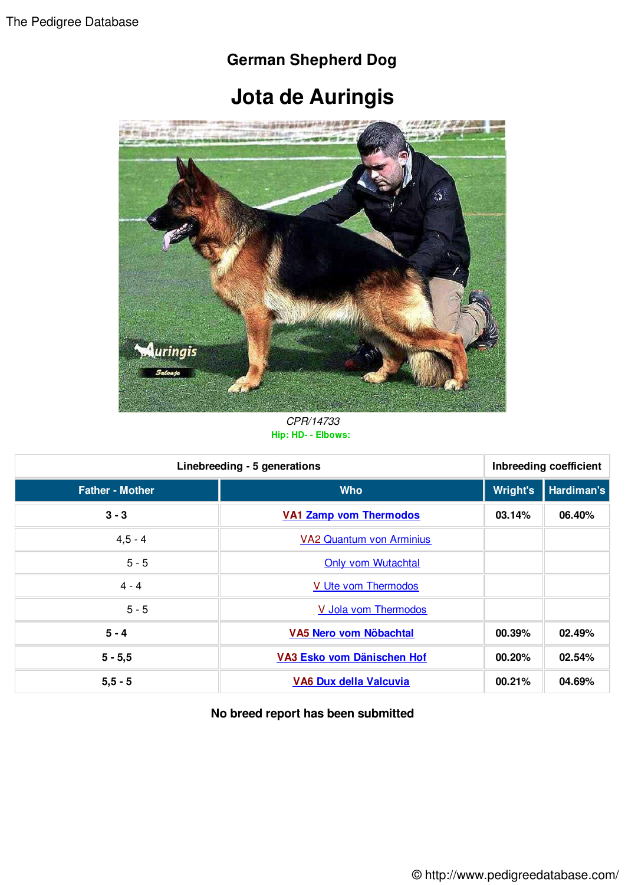## **German Shepherd Dog**

## **Jota de Auringis**



*CPR/14733* **Hip: HD- - Elbows:** 

| Linebreeding - 5 generations |                                 | Inbreeding coefficient |            |
|------------------------------|---------------------------------|------------------------|------------|
| <b>Father - Mother</b>       | <b>Who</b>                      | <b>Wright's</b>        | Hardiman's |
| $3 - 3$                      | <b>VA1 Zamp vom Thermodos</b>   | 03.14%                 | 06.40%     |
| $4,5 - 4$                    | <b>VA2 Quantum von Arminius</b> |                        |            |
| $5 - 5$                      | <b>Only vom Wutachtal</b>       |                        |            |
| $4 - 4$                      | V Ute vom Thermodos             |                        |            |
| $5 - 5$                      | V Jola vom Thermodos            |                        |            |
| $5 - 4$                      | VA5 Nero vom Nöbachtal          | 00.39%                 | 02.49%     |
| $5 - 5,5$                    | VA3 Esko vom Dänischen Hof      | 00.20%                 | 02.54%     |
| $5, 5 - 5$                   | VA6 Dux della Valcuvia          | 00.21%                 | 04.69%     |

## **No breed report has been submitted**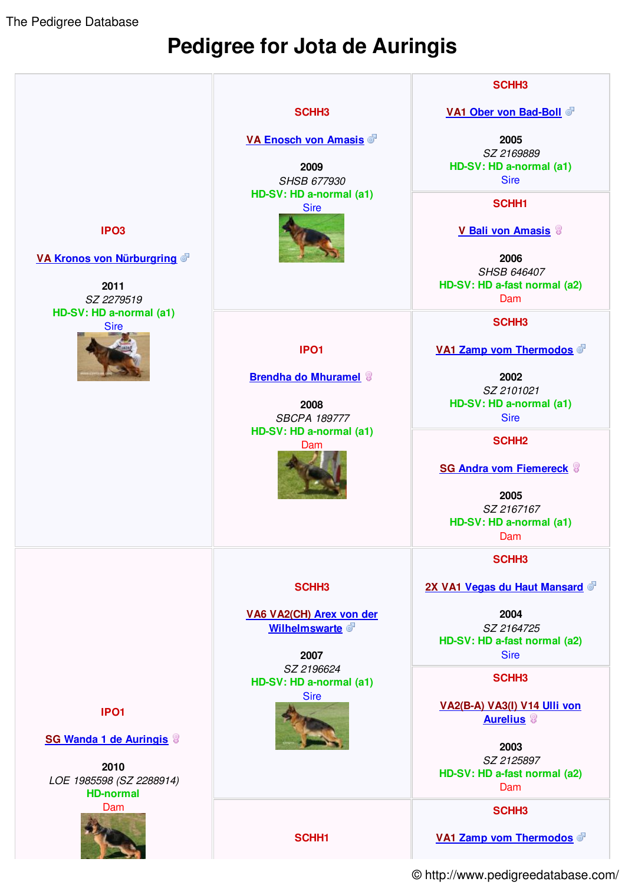The Pedigree Database

## **Pedigree for Jota de Auringis**



© http://www.pedigreedatabase.com/